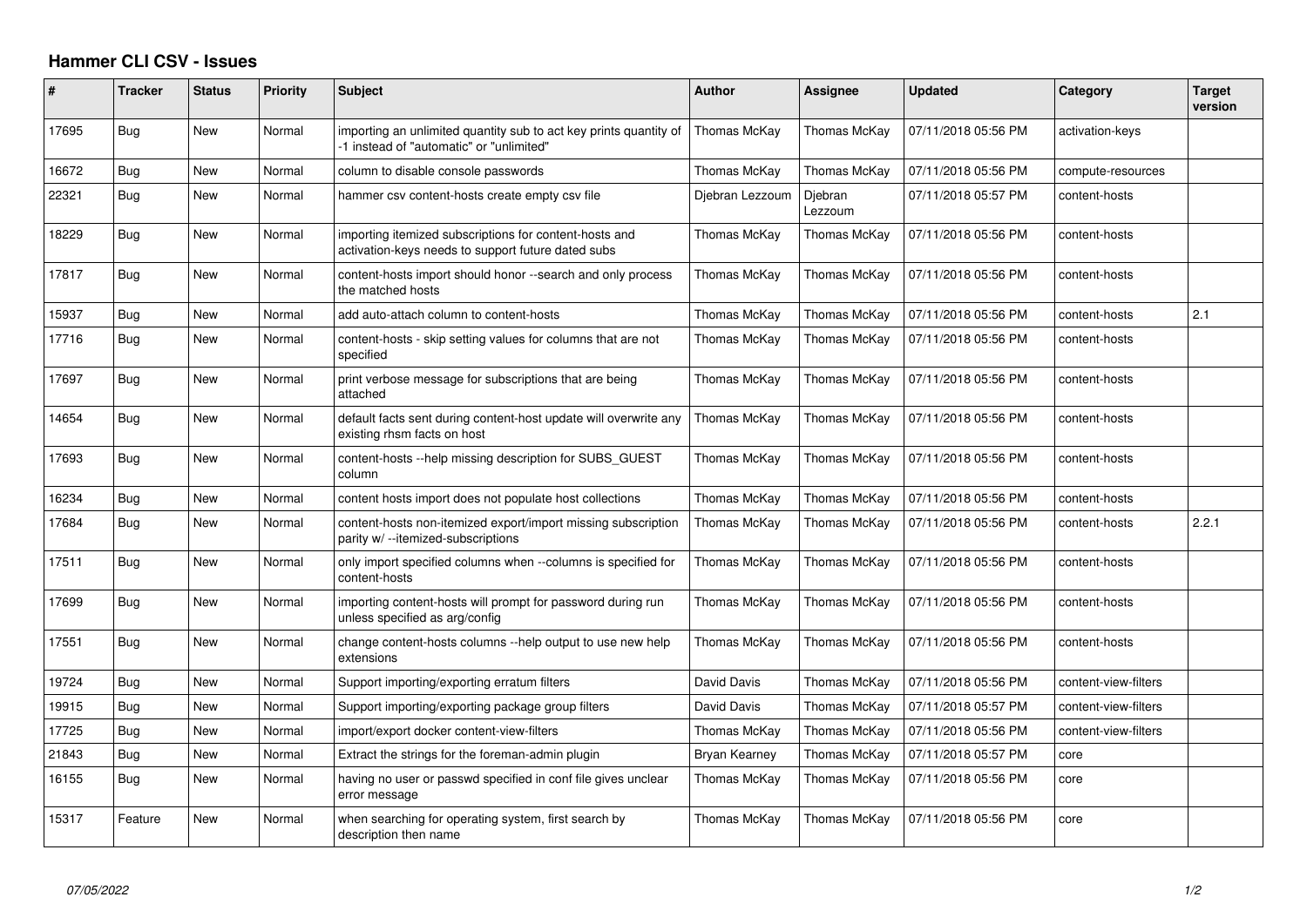## **Hammer CLI CSV - Issues**

| #     | <b>Tracker</b> | Status     | Priority | <b>Subject</b>                                                                                                | <b>Author</b>   | Assignee           | <b>Updated</b>      | Category             | Target<br>version |
|-------|----------------|------------|----------|---------------------------------------------------------------------------------------------------------------|-----------------|--------------------|---------------------|----------------------|-------------------|
| 17695 | Bug            | New        | Normal   | importing an unlimited quantity sub to act key prints quantity of<br>-1 instead of "automatic" or "unlimited" | Thomas McKay    | Thomas McKay       | 07/11/2018 05:56 PM | activation-keys      |                   |
| 16672 | Bug            | New        | Normal   | column to disable console passwords                                                                           | Thomas McKay    | Thomas McKay       | 07/11/2018 05:56 PM | compute-resources    |                   |
| 22321 | Bug            | <b>New</b> | Normal   | hammer csv content-hosts create empty csv file                                                                | Djebran Lezzoum | Djebran<br>Lezzoum | 07/11/2018 05:57 PM | content-hosts        |                   |
| 18229 | Bug            | New        | Normal   | importing itemized subscriptions for content-hosts and<br>activation-keys needs to support future dated subs  | Thomas McKay    | Thomas McKay       | 07/11/2018 05:56 PM | content-hosts        |                   |
| 17817 | Bug            | New        | Normal   | content-hosts import should honor --search and only process<br>the matched hosts                              | Thomas McKay    | Thomas McKay       | 07/11/2018 05:56 PM | content-hosts        |                   |
| 15937 | Bug            | New        | Normal   | add auto-attach column to content-hosts                                                                       | Thomas McKay    | Thomas McKay       | 07/11/2018 05:56 PM | content-hosts        | 2.1               |
| 17716 | Bug            | New        | Normal   | content-hosts - skip setting values for columns that are not<br>specified                                     | Thomas McKay    | Thomas McKay       | 07/11/2018 05:56 PM | content-hosts        |                   |
| 17697 | Bug            | <b>New</b> | Normal   | print verbose message for subscriptions that are being<br>attached                                            | Thomas McKay    | Thomas McKay       | 07/11/2018 05:56 PM | content-hosts        |                   |
| 14654 | Bug            | New        | Normal   | default facts sent during content-host update will overwrite any<br>existing rhsm facts on host               | Thomas McKay    | Thomas McKay       | 07/11/2018 05:56 PM | content-hosts        |                   |
| 17693 | Bug            | New        | Normal   | content-hosts --help missing description for SUBS_GUEST<br>column                                             | Thomas McKay    | Thomas McKay       | 07/11/2018 05:56 PM | content-hosts        |                   |
| 16234 | Bug            | New        | Normal   | content hosts import does not populate host collections                                                       | Thomas McKay    | Thomas McKay       | 07/11/2018 05:56 PM | content-hosts        |                   |
| 17684 | Bug            | <b>New</b> | Normal   | content-hosts non-itemized export/import missing subscription<br>parity w/ --itemized-subscriptions           | Thomas McKay    | Thomas McKay       | 07/11/2018 05:56 PM | content-hosts        | 2.2.1             |
| 17511 | Bug            | New        | Normal   | only import specified columns when --columns is specified for<br>content-hosts                                | Thomas McKay    | Thomas McKay       | 07/11/2018 05:56 PM | content-hosts        |                   |
| 17699 | Bug            | New        | Normal   | importing content-hosts will prompt for password during run<br>unless specified as arg/config                 | Thomas McKay    | Thomas McKay       | 07/11/2018 05:56 PM | content-hosts        |                   |
| 17551 | Bug            | <b>New</b> | Normal   | change content-hosts columns --help output to use new help<br>extensions                                      | Thomas McKay    | Thomas McKay       | 07/11/2018 05:56 PM | content-hosts        |                   |
| 19724 | Bug            | New        | Normal   | Support importing/exporting erratum filters                                                                   | David Davis     | Thomas McKay       | 07/11/2018 05:56 PM | content-view-filters |                   |
| 19915 | Bug            | New        | Normal   | Support importing/exporting package group filters                                                             | David Davis     | Thomas McKay       | 07/11/2018 05:57 PM | content-view-filters |                   |
| 17725 | Bug            | New        | Normal   | import/export docker content-view-filters                                                                     | Thomas McKay    | Thomas McKay       | 07/11/2018 05:56 PM | content-view-filters |                   |
| 21843 | Bug            | New        | Normal   | Extract the strings for the foreman-admin plugin                                                              | Bryan Kearney   | Thomas McKay       | 07/11/2018 05:57 PM | core                 |                   |
| 16155 | Bug            | New        | Normal   | having no user or passwd specified in conf file gives unclear<br>error message                                | Thomas McKay    | Thomas McKay       | 07/11/2018 05:56 PM | core                 |                   |
| 15317 | Feature        | New        | Normal   | when searching for operating system, first search by<br>description then name                                 | Thomas McKay    | Thomas McKay       | 07/11/2018 05:56 PM | core                 |                   |